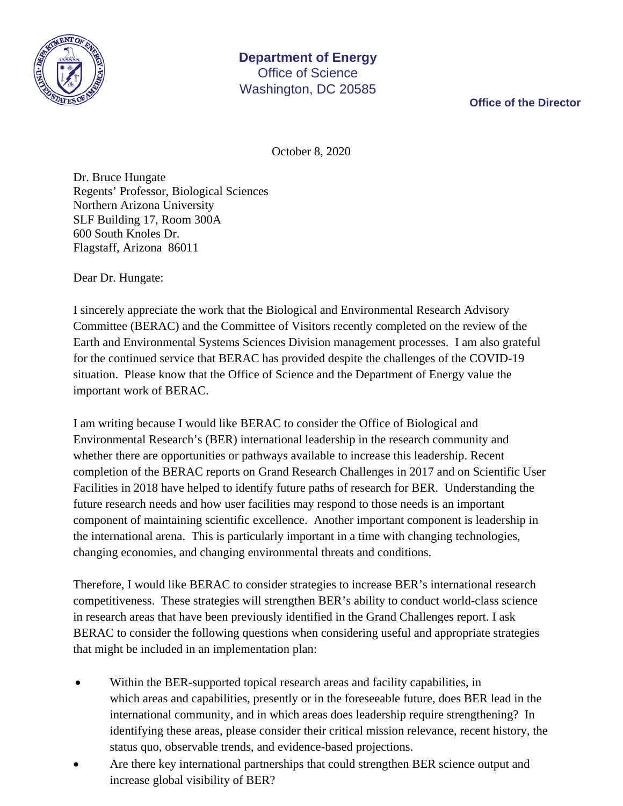

**Office of the Director**

October 8, 2020

Dr. Bruce Hungate Regents' Professor, Biological Sciences Northern Arizona University SLF Building 17, Room 300A 600 South Knoles Dr. Flagstaff, Arizona 86011

Dear Dr. Hungate:

I sincerely appreciate the work that the Biological and Environmental Research Advisory Committee (BERAC) and the Committee of Visitors recently completed on the review of the Earth and Environmental Systems Sciences Division management processes. I am also grateful for the continued service that BERAC has provided despite the challenges of the COVID-19 situation. Please know that the Office of Science and the Department of Energy value the important work of BERAC.

I am writing because I would like BERAC to consider the Office of Biological and Environmental Research's (BER) international leadership in the research community and whether there are opportunities or pathways available to increase this leadership. Recent completion of the BERAC reports on Grand Research Challenges in 2017 and on Scientific User Facilities in 2018 have helped to identify future paths of research for BER. Understanding the future research needs and how user facilities may respond to those needs is an important component of maintaining scientific excellence. Another important component is leadership in the international arena. This is particularly important in a time with changing technologies, changing economies, and changing environmental threats and conditions.

Therefore, I would like BERAC to consider strategies to increase BER's international research competitiveness. These strategies will strengthen BER's ability to conduct world-class science in research areas that have been previously identified in the Grand Challenges report. I ask BERAC to consider the following questions when considering useful and appropriate strategies that might be included in an implementation plan:

- Within the BER-supported topical research areas and facility capabilities, in which areas and capabilities, presently or in the foreseeable future, does BER lead in the international community, and in which areas does leadership require strengthening? In identifying these areas, please consider their critical mission relevance, recent history, the status quo, observable trends, and evidence-based projections.
- Are there key international partnerships that could strengthen BER science output and increase global visibility of BER?